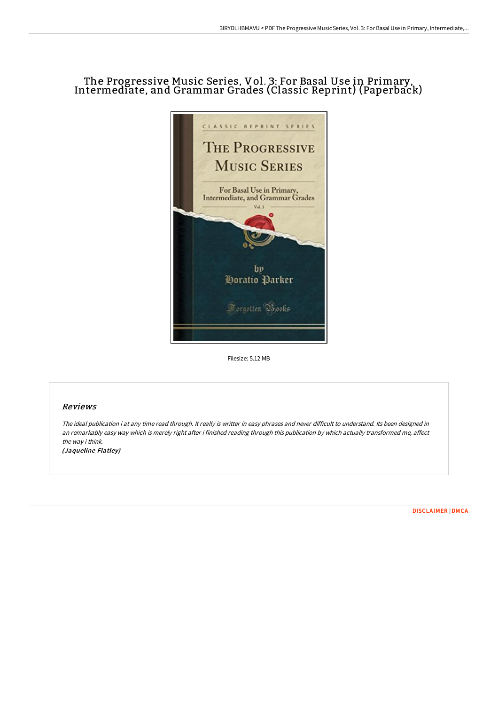# The Progressive Music Series, Vol. 3: For Basal Use in Primary, Intermediate, and Grammar Grades (Classic Reprint) (Paperback)



Filesize: 5.12 MB

## Reviews

The ideal publication i at any time read through. It really is writter in easy phrases and never difficult to understand. Its been designed in an remarkably easy way which is merely right after i finished reading through this publication by which actually transformed me, affect the way i think. (Jaqueline Flatley)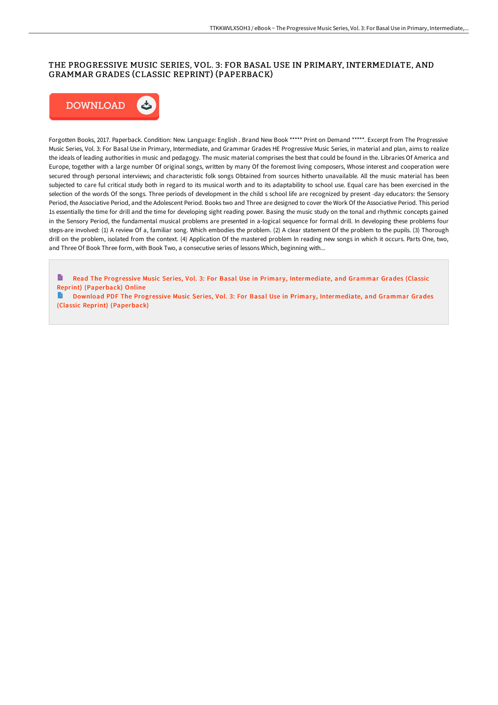## THE PROGRESSIVE MUSIC SERIES, VOL. 3: FOR BASAL USE IN PRIMARY, INTERMEDIATE, AND GRAMMAR GRADES (CLASSIC REPRINT) (PAPERBACK)



Forgotten Books, 2017. Paperback. Condition: New. Language: English . Brand New Book \*\*\*\*\* Print on Demand \*\*\*\*\*. Excerpt from The Progressive Music Series, Vol. 3: For Basal Use in Primary, Intermediate, and Grammar Grades HE Progressive Music Series, in material and plan, aims to realize the ideals of leading authorities in music and pedagogy. The music material comprises the best that could be found in the. Libraries Of America and Europe, together with a large number Of original songs, written by many Of the foremost living composers, Whose interest and cooperation were secured through personal interviews; and characteristic folk songs Obtained from sources hitherto unavailable. All the music material has been subjected to care ful critical study both in regard to its musical worth and to its adaptability to school use. Equal care has been exercised in the selection of the words Of the songs. Three periods of development in the child s school life are recognized by present -day educators: the Sensory Period, the Associative Period, and the Adolescent Period. Books two and Three are designed to cover the Work Of the Associative Period. This period 1s essentially the time for drill and the time for developing sight reading power. Basing the music study on the tonal and rhythmic concepts gained in the Sensory Period, the fundamental musical problems are presented in a-logical sequence for formal drill. In developing these problems four steps-are involved: (1) A review Of a, familiar song. Which embodies the problem. (2) A clear statement Of the problem to the pupils. (3) Thorough drill on the problem, isolated from the context. (4) Application Of the mastered problem ln reading new songs in which it occurs. Parts One, two, and Three Of Book Three form, with Book Two, a consecutive series of lessons Which, beginning with...

B Read The Progressive Music Series, Vol. 3: For Basal Use in Primary, [Intermediate,](http://digilib.live/the-progressive-music-series-vol-3-for-basal-use.html) and Grammar Grades (Classic Reprint) (Paperback) Online

Download PDF The Progressive Music Series, Vol. 3: For Basal Use in Primary, [Intermediate,](http://digilib.live/the-progressive-music-series-vol-3-for-basal-use.html) and Grammar Grades (Classic Reprint) (Paperback)